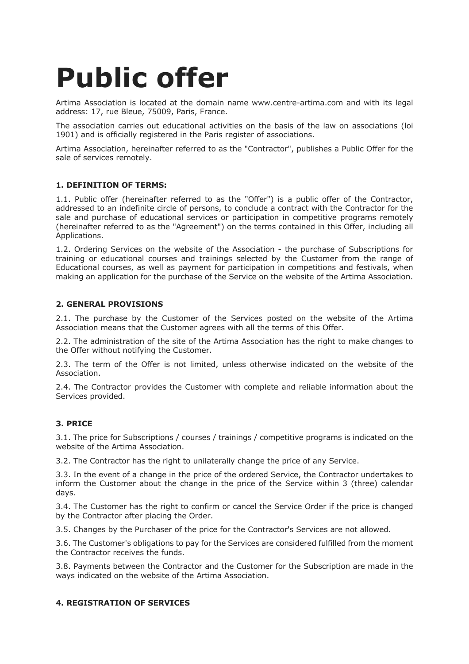# **Public offer**

Artima Association is located at the domain name www.centre-artima.com and with its legal address: 17, rue Bleue, 75009, Paris, France.

The association carries out educational activities on the basis of the law on associations (loi 1901) and is officially registered in the Paris register of associations.

Artima Association, hereinafter referred to as the "Contractor", publishes a Public Offer for the sale of services remotely.

## **1. DEFINITION OF TERMS:**

1.1. Public offer (hereinafter referred to as the "Offer") is a public offer of the Contractor, addressed to an indefinite circle of persons, to conclude a contract with the Contractor for the sale and purchase of educational services or participation in competitive programs remotely (hereinafter referred to as the "Agreement") on the terms contained in this Offer, including all Applications.

1.2. Ordering Services on the website of the Association - the purchase of Subscriptions for training or educational courses and trainings selected by the Customer from the range of Educational courses, as well as payment for participation in competitions and festivals, when making an application for the purchase of the Service on the website of the Artima Association.

## **2. GENERAL PROVISIONS**

2.1. The purchase by the Customer of the Services posted on the website of the Artima Association means that the Customer agrees with all the terms of this Offer.

2.2. The administration of the site of the Artima Association has the right to make changes to the Offer without notifying the Customer.

2.3. The term of the Offer is not limited, unless otherwise indicated on the website of the Association.

2.4. The Contractor provides the Customer with complete and reliable information about the Services provided.

#### **3. PRICE**

3.1. The price for Subscriptions / courses / trainings / competitive programs is indicated on the website of the Artima Association.

3.2. The Contractor has the right to unilaterally change the price of any Service.

3.3. In the event of a change in the price of the ordered Service, the Contractor undertakes to inform the Customer about the change in the price of the Service within 3 (three) calendar days.

3.4. The Customer has the right to confirm or cancel the Service Order if the price is changed by the Contractor after placing the Order.

3.5. Changes by the Purchaser of the price for the Contractor's Services are not allowed.

3.6. The Customer's obligations to pay for the Services are considered fulfilled from the moment the Contractor receives the funds.

3.8. Payments between the Contractor and the Customer for the Subscription are made in the ways indicated on the website of the Artima Association.

#### **4. REGISTRATION OF SERVICES**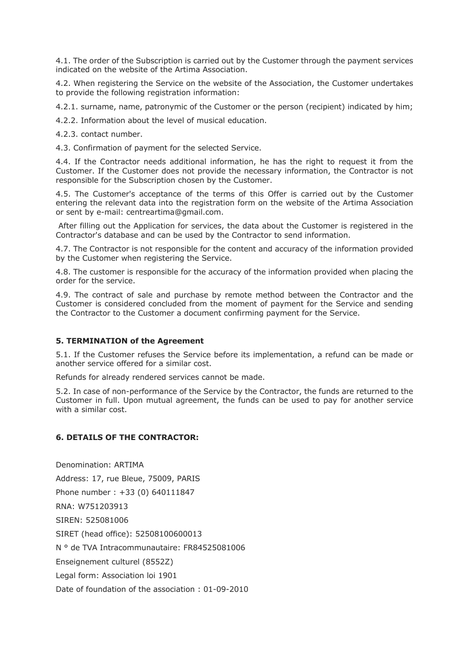4.1. The order of the Subscription is carried out by the Customer through the payment services indicated on the website of the Artima Association.

4.2. When registering the Service on the website of the Association, the Customer undertakes to provide the following registration information:

4.2.1. surname, name, patronymic of the Customer or the person (recipient) indicated by him;

4.2.2. Information about the level of musical education.

4.2.3. contact number.

4.3. Confirmation of payment for the selected Service.

4.4. If the Contractor needs additional information, he has the right to request it from the Customer. If the Customer does not provide the necessary information, the Contractor is not responsible for the Subscription chosen by the Customer.

4.5. The Customer's acceptance of the terms of this Offer is carried out by the Customer entering the relevant data into the registration form on the website of the Artima Association or sent by e-mail: centreartima@gmail.com.

After filling out the Application for services, the data about the Customer is registered in the Contractor's database and can be used by the Contractor to send information.

4.7. The Contractor is not responsible for the content and accuracy of the information provided by the Customer when registering the Service.

4.8. The customer is responsible for the accuracy of the information provided when placing the order for the service.

4.9. The contract of sale and purchase by remote method between the Contractor and the Customer is considered concluded from the moment of payment for the Service and sending the Contractor to the Customer a document confirming payment for the Service.

#### **5. TERMINATION of the Agreement**

5.1. If the Customer refuses the Service before its implementation, a refund can be made or another service offered for a similar cost.

Refunds for already rendered services cannot be made.

5.2. In case of non-performance of the Service by the Contractor, the funds are returned to the Customer in full. Upon mutual agreement, the funds can be used to pay for another service with a similar cost.

# **6. DETAILS OF THE CONTRACTOR:**

Denomination: ARTIMA Address: 17, rue Bleue, 75009, PARIS Phone number : +33 (0) 640111847 RNA: W751203913 SIREN: 525081006 SIRET (head office): 52508100600013 N ° de TVA Intracommunautaire: FR84525081006 Enseignement culturel (8552Z) Legal form: Association loi 1901 Date of foundation of the association : 01-09-2010